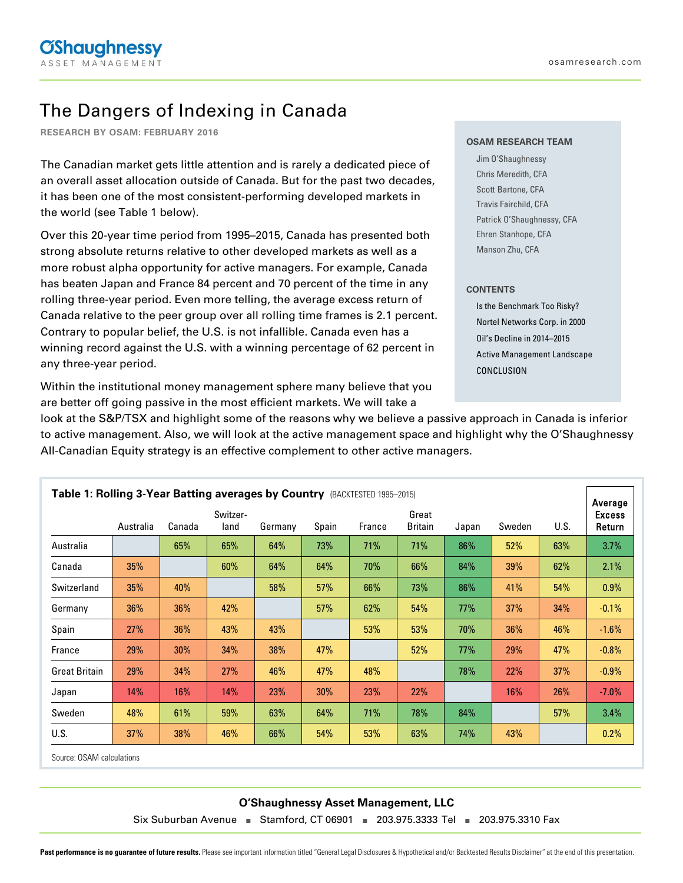# The Dangers of Indexing in Canada

**RESEARCH BY OSAM: FEBRUARY 2016**

The Canadian market gets little attention and is rarely a dedicated piece of an overall asset allocation outside of Canada. But for the past two decades, it has been one of the most consistent-performing developed markets in the world (see Table 1 below).

Over this 20-year time period from 1995–2015, Canada has presented both strong absolute returns relative to other developed markets as well as a more robust alpha opportunity for active managers. For example, Canada has beaten Japan and France 84 percent and 70 percent of the time in any rolling three-year period. Even more telling, the average excess return of Canada relative to the peer group over all rolling time frames is 2.1 percent. Contrary to popular belief, the U.S. is not infallible. Canada even has a winning record against the U.S. with a winning percentage of 62 percent in any three-year period.

Within the institutional money management sphere many believe that you are better off going passive in the most efficient markets. We will take a

#### **OSAM RESEARCH TEAM**

Jim O'Shaughnessy Chris Meredith, CFA Scott Bartone, CFA Travis Fairchild, CFA Patrick O'Shaughnessy, CFA Ehren Stanhope, CFA Manson Zhu, CFA

#### **CONTENTS**

Is the Benchmark Too Risky? Nortel Networks Corp. in 2000 Oil's Decline in 2014–2015 Active Management Landscape CONCLUSION

look at the S&P/TSX and highlight some of the reasons why we believe a passive approach in Canada is inferior to active management. Also, we will look at the active management space and highlight why the O'Shaughnessy All-Canadian Equity strategy is an effective complement to other active managers.

| Table 1: Rolling 3-Year Batting averages by Country (BACKTESTED 1995-2015) |           |        |                  |         |       |        | Average                 |       |        |      |                         |
|----------------------------------------------------------------------------|-----------|--------|------------------|---------|-------|--------|-------------------------|-------|--------|------|-------------------------|
|                                                                            | Australia | Canada | Switzer-<br>land | Germany | Spain | France | Great<br><b>Britain</b> | Japan | Sweden | U.S. | <b>Excess</b><br>Return |
| Australia                                                                  |           | 65%    | 65%              | 64%     | 73%   | 71%    | 71%                     | 86%   | 52%    | 63%  | 3.7%                    |
| Canada                                                                     | 35%       |        | 60%              | 64%     | 64%   | 70%    | 66%                     | 84%   | 39%    | 62%  | 2.1%                    |
| Switzerland                                                                | 35%       | 40%    |                  | 58%     | 57%   | 66%    | 73%                     | 86%   | 41%    | 54%  | $0.9\%$                 |
| Germany                                                                    | 36%       | 36%    | 42%              |         | 57%   | 62%    | 54%                     | 77%   | 37%    | 34%  | $-0.1\%$                |
| Spain                                                                      | 27%       | 36%    | 43%              | 43%     |       | 53%    | 53%                     | 70%   | 36%    | 46%  | $-1.6%$                 |
| France                                                                     | 29%       | 30%    | 34%              | 38%     | 47%   |        | 52%                     | 77%   | 29%    | 47%  | $-0.8%$                 |
| <b>Great Britain</b>                                                       | 29%       | 34%    | 27%              | 46%     | 47%   | 48%    |                         | 78%   | 22%    | 37%  | $-0.9%$                 |
| Japan                                                                      | 14%       | 16%    | 14%              | 23%     | 30%   | 23%    | 22%                     |       | 16%    | 26%  | $-7.0\%$                |
| Sweden                                                                     | 48%       | 61%    | 59%              | 63%     | 64%   | 71%    | 78%                     | 84%   |        | 57%  | 3.4%                    |
| U.S.                                                                       | 37%       | 38%    | 46%              | 66%     | 54%   | 53%    | 63%                     | 74%   | 43%    |      | $0.2\%$                 |

Source: OSAM calculations

#### **O'Shaughnessy Asset Management, LLC**

Six Suburban Avenue **■** Stamford, CT 06901 **■** 203.975.3333 Tel **■** 203.975.3310 Fax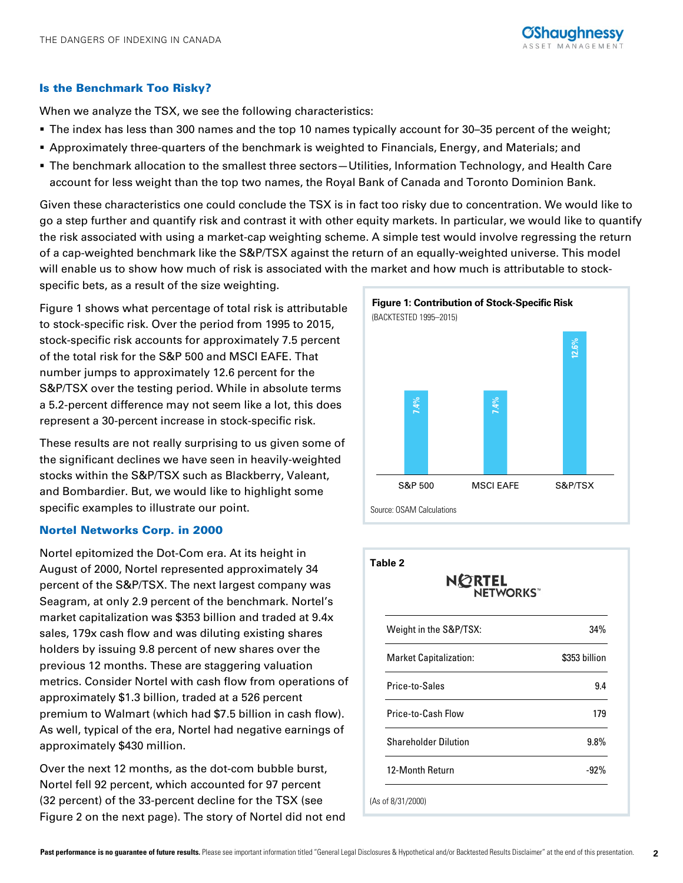## Is the Benchmark Too Risky?

When we analyze the TSX, we see the following characteristics:

- The index has less than 300 names and the top 10 names typically account for 30–35 percent of the weight;
- Approximately three-quarters of the benchmark is weighted to Financials, Energy, and Materials; and
- The benchmark allocation to the smallest three sectors—Utilities, Information Technology, and Health Care account for less weight than the top two names, the Royal Bank of Canada and Toronto Dominion Bank.

Given these characteristics one could conclude the TSX is in fact too risky due to concentration. We would like to go a step further and quantify risk and contrast it with other equity markets. In particular, we would like to quantify the risk associated with using a market-cap weighting scheme. A simple test would involve regressing the return of a cap-weighted benchmark like the S&P/TSX against the return of an equally-weighted universe. This model will enable us to show how much of risk is associated with the market and how much is attributable to stockspecific bets, as a result of the size weighting.

Figure 1 shows what percentage of total risk is attributable to stock-specific risk. Over the period from 1995 to 2015, stock-specific risk accounts for approximately 7.5 percent of the total risk for the S&P 500 and MSCI EAFE. That number jumps to approximately 12.6 percent for the S&P/TSX over the testing period. While in absolute terms a 5.2-percent difference may not seem like a lot, this does represent a 30-percent increase in stock-specific risk.

These results are not really surprising to us given some of the significant declines we have seen in heavily-weighted stocks within the S&P/TSX such as Blackberry, Valeant, and Bombardier. But, we would like to highlight some specific examples to illustrate our point.

### Nortel Networks Corp. in 2000

Nortel epitomized the Dot-Com era. At its height in August of 2000, Nortel represented approximately 34 percent of the S&P/TSX. The next largest company was Seagram, at only 2.9 percent of the benchmark. Nortel's market capitalization was \$353 billion and traded at 9.4x sales, 179x cash flow and was diluting existing shares holders by issuing 9.8 percent of new shares over the previous 12 months. These are staggering valuation metrics. Consider Nortel with cash flow from operations of approximately \$1.3 billion, traded at a 526 percent premium to Walmart (which had \$7.5 billion in cash flow). As well, typical of the era, Nortel had negative earnings of approximately \$430 million.

Over the next 12 months, as the dot-com bubble burst, Nortel fell 92 percent, which accounted for 97 percent (32 percent) of the 33-percent decline for the TSX (see Figure 2 on the next page). The story of Nortel did not end



| <b>NORTEL</b><br><b>NETWORKS</b> |               |
|----------------------------------|---------------|
| Weight in the S&P/TSX:           | 34%           |
| <b>Market Capitalization:</b>    | \$353 billion |
| Price-to-Sales                   | 9.4           |
| Price-to-Cash Flow               | 179           |
| <b>Shareholder Dilution</b>      | $9.8\%$       |
| 12-Month Return                  | $-92%$        |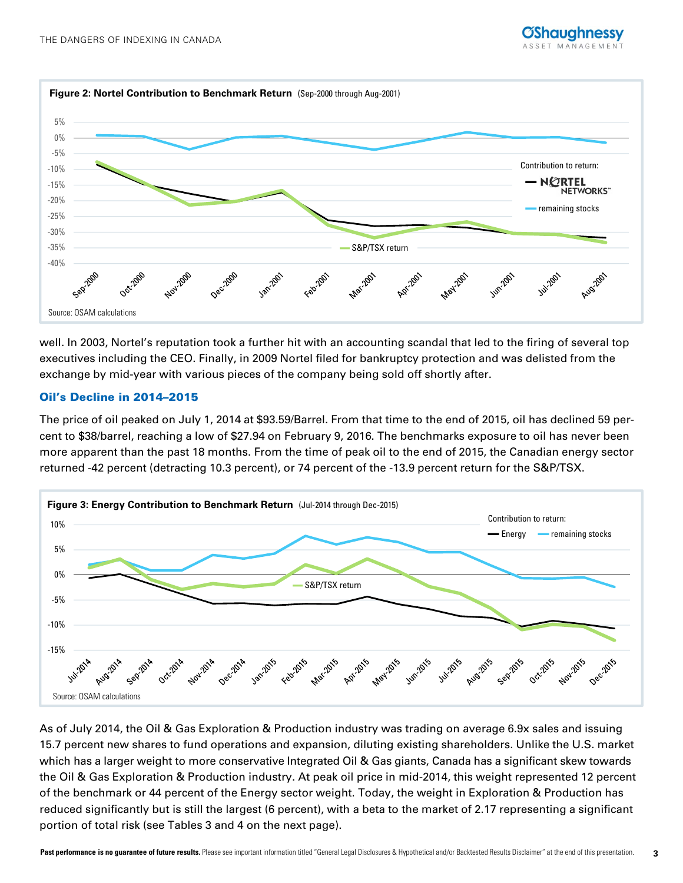

well. In 2003, Nortel's reputation took a further hit with an accounting scandal that led to the firing of several top executives including the CEO. Finally, in 2009 Nortel filed for bankruptcy protection and was delisted from the exchange by mid-year with various pieces of the company being sold off shortly after.

# Oil's Decline in 2014–2015

The price of oil peaked on July 1, 2014 at \$93.59/Barrel. From that time to the end of 2015, oil has declined 59 percent to \$38/barrel, reaching a low of \$27.94 on February 9, 2016. The benchmarks exposure to oil has never been more apparent than the past 18 months. From the time of peak oil to the end of 2015, the Canadian energy sector returned -42 percent (detracting 10.3 percent), or 74 percent of the -13.9 percent return for the S&P/TSX.



As of July 2014, the Oil & Gas Exploration & Production industry was trading on average 6.9x sales and issuing 15.7 percent new shares to fund operations and expansion, diluting existing shareholders. Unlike the U.S. market which has a larger weight to more conservative Integrated Oil & Gas giants, Canada has a significant skew towards the Oil & Gas Exploration & Production industry. At peak oil price in mid-2014, this weight represented 12 percent of the benchmark or 44 percent of the Energy sector weight. Today, the weight in Exploration & Production has reduced significantly but is still the largest (6 percent), with a beta to the market of 2.17 representing a significant portion of total risk (see Tables 3 and 4 on the next page).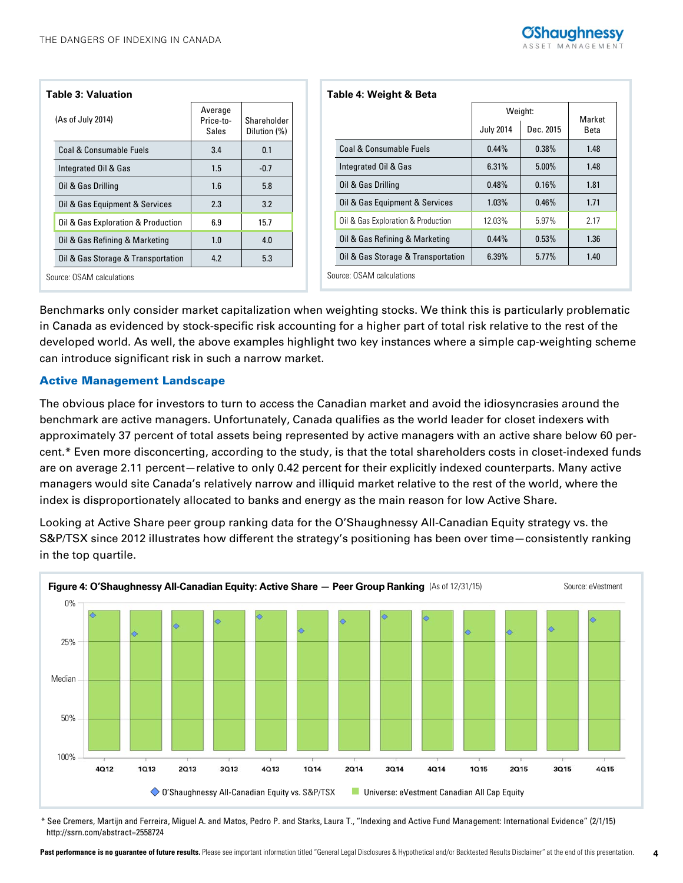| <b>Table 3: Valuation</b>          |                               |                             |  |
|------------------------------------|-------------------------------|-----------------------------|--|
| (As of July 2014)                  | Average<br>Price-to-<br>Sales | Shareholder<br>Dilution (%) |  |
| Coal & Consumable Fuels            | 3.4                           | 0.1                         |  |
| Integrated Oil & Gas               | 1.5                           | $-0.7$                      |  |
| Oil & Gas Drilling                 | 1.6                           | 5.8                         |  |
| Oil & Gas Equipment & Services     | 2.3                           | 3.2                         |  |
| Oil & Gas Exploration & Production | 6.9                           | 15.7                        |  |
| Oil & Gas Refining & Marketing     | 1.0                           | 4.0                         |  |
| Oil & Gas Storage & Transportation | 4.2                           | 5.3                         |  |
| Course: 08AM calculations          |                               |                             |  |

| Table 4: Weight & Beta             |                  |           |      |  |  |
|------------------------------------|------------------|-----------|------|--|--|
|                                    | Weight:          | Market    |      |  |  |
|                                    | <b>July 2014</b> | Dec. 2015 | Beta |  |  |
| Coal & Consumable Fuels            | $0.44\%$         | $0.38\%$  | 1.48 |  |  |
| Integrated Oil & Gas               | 6.31%            | $5.00\%$  | 1.48 |  |  |
| Oil & Gas Drilling                 | 0.48%            | 0.16%     | 1.81 |  |  |
| Oil & Gas Equipment & Services     | $1.03\%$         | 0.46%     | 1.71 |  |  |
| Oil & Gas Exploration & Production | 12.03%           | 5.97%     | 2.17 |  |  |
| Oil & Gas Refining & Marketing     | 0.44%            | 0.53%     | 1.36 |  |  |
| Oil & Gas Storage & Transportation | 6.39%            | 5.77%     | 1.40 |  |  |
| Source: OSAM calculations          |                  |           |      |  |  |

Source: OSAM calculations

Benchmarks only consider market capitalization when weighting stocks. We think this is particularly problematic in Canada as evidenced by stock-specific risk accounting for a higher part of total risk relative to the rest of the developed world. As well, the above examples highlight two key instances where a simple cap-weighting scheme can introduce significant risk in such a narrow market.

### Active Management Landscape

The obvious place for investors to turn to access the Canadian market and avoid the idiosyncrasies around the benchmark are active managers. Unfortunately, Canada qualifies as the world leader for closet indexers with approximately 37 percent of total assets being represented by active managers with an active share below 60 percent.\* Even more disconcerting, according to the study, is that the total shareholders costs in closet-indexed funds are on average 2.11 percent—relative to only 0.42 percent for their explicitly indexed counterparts. Many active managers would site Canada's relatively narrow and illiquid market relative to the rest of the world, where the index is disproportionately allocated to banks and energy as the main reason for low Active Share.

Looking at Active Share peer group ranking data for the O'Shaughnessy All-Canadian Equity strategy vs. the S&P/TSX since 2012 illustrates how different the strategy's positioning has been over time—consistently ranking in the top quartile.



\* See Cremers, Martijn and Ferreira, Miguel A. and Matos, Pedro P. and Starks, Laura T., "Indexing and Active Fund Management: International Evidence" (2/1/15) http://ssrn.com/abstract=2558724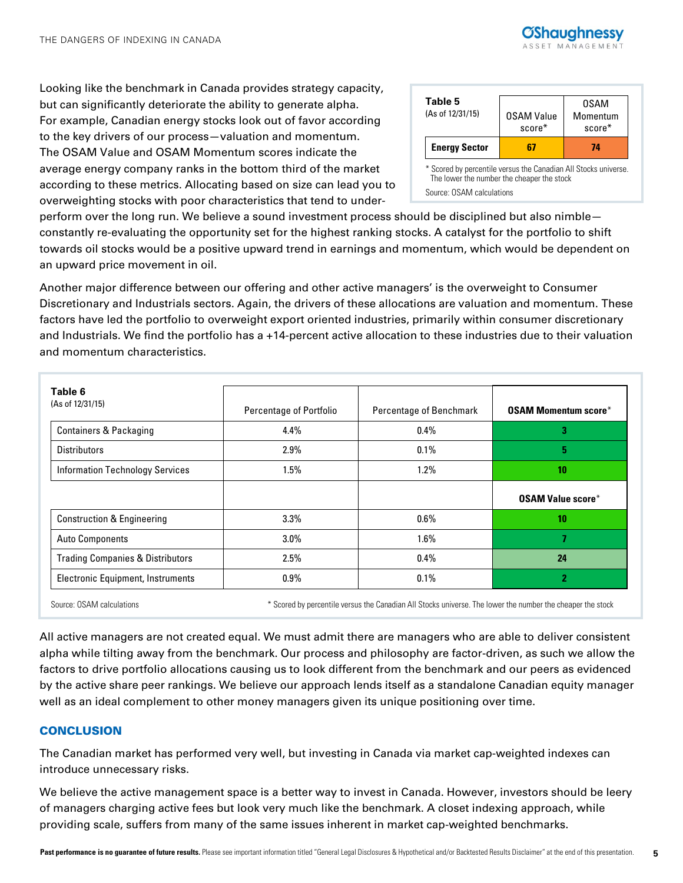

Looking like the benchmark in Canada provides strategy capacity, but can significantly deteriorate the ability to generate alpha. For example, Canadian energy stocks look out of favor according to the key drivers of our process—valuation and momentum. The OSAM Value and OSAM Momentum scores indicate the average energy company ranks in the bottom third of the market according to these metrics. Allocating based on size can lead you to overweighting stocks with poor characteristics that tend to under-

| Table 5<br>(As of 12/31/15)                                     | <b>OSAM Value</b><br>$score*$ | 0SAM<br>Momentum<br>$score*$ |
|-----------------------------------------------------------------|-------------------------------|------------------------------|
| <b>Energy Sector</b>                                            |                               | 74                           |
|                                                                 |                               |                              |
| * Scored by percentile versus the Canadian All Stocks universe. |                               |                              |

perform over the long run. We believe a sound investment process should be disciplined but also nimble constantly re-evaluating the opportunity set for the highest ranking stocks. A catalyst for the portfolio to shift towards oil stocks would be a positive upward trend in earnings and momentum, which would be dependent on an upward price movement in oil.

Another major difference between our offering and other active managers' is the overweight to Consumer Discretionary and Industrials sectors. Again, the drivers of these allocations are valuation and momentum. These factors have led the portfolio to overweight export oriented industries, primarily within consumer discretionary and Industrials. We find the portfolio has a +14-percent active allocation to these industries due to their valuation and momentum characteristics.

| Table 6<br>(As of 12/31/15)                 | Percentage of Portfolio | Percentage of Benchmark | <b>OSAM Momentum score*</b> |
|---------------------------------------------|-------------------------|-------------------------|-----------------------------|
| <b>Containers &amp; Packaging</b>           | 4.4%                    | 0.4%                    | 3                           |
| <b>Distributors</b>                         | $2.9\%$                 | 0.1%                    | 5                           |
| <b>Information Technology Services</b>      | 1.5%                    | 1.2%                    | 10                          |
|                                             |                         |                         | <b>OSAM Value score*</b>    |
| <b>Construction &amp; Engineering</b>       | $3.3\%$                 | $0.6\%$                 | 10                          |
| <b>Auto Components</b>                      | $3.0\%$                 | 1.6%                    | 7.                          |
| <b>Trading Companies &amp; Distributors</b> | 2.5%                    | 0.4%                    | 24                          |
| <b>Electronic Equipment, Instruments</b>    | $0.9\%$                 | 0.1%                    | 2                           |

Source: OSAM calculations **\*** Scored by percentile versus the Canadian All Stocks universe. The lower the number the cheaper the stock

All active managers are not created equal. We must admit there are managers who are able to deliver consistent alpha while tilting away from the benchmark. Our process and philosophy are factor-driven, as such we allow the factors to drive portfolio allocations causing us to look different from the benchmark and our peers as evidenced by the active share peer rankings. We believe our approach lends itself as a standalone Canadian equity manager well as an ideal complement to other money managers given its unique positioning over time.

## **CONCLUSION**

The Canadian market has performed very well, but investing in Canada via market cap-weighted indexes can introduce unnecessary risks.

We believe the active management space is a better way to invest in Canada. However, investors should be leery of managers charging active fees but look very much like the benchmark. A closet indexing approach, while providing scale, suffers from many of the same issues inherent in market cap-weighted benchmarks.